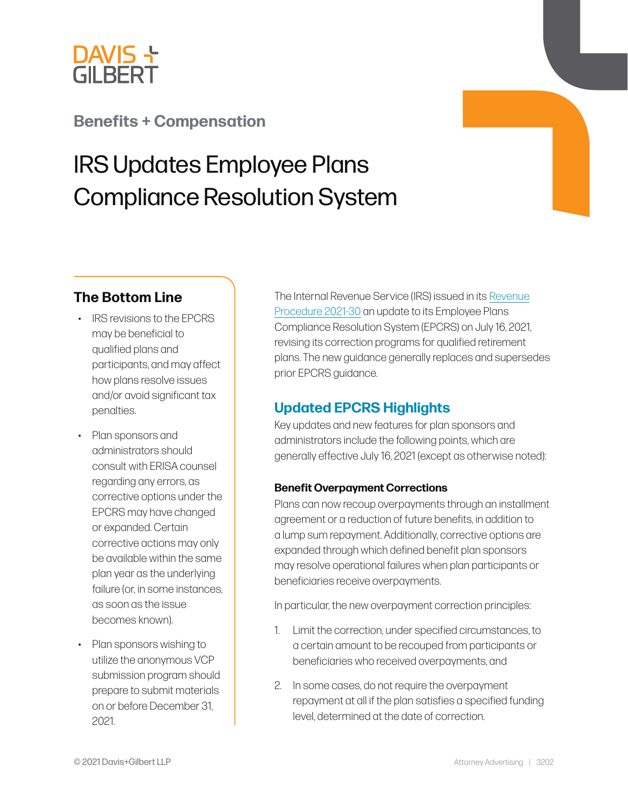

## **[Benefits + Compensation](https://www.dglaw.com/practice-area-details.cfm?pgcat=Benefits%20%26%20Compensation)**

# IRS Updates Employee Plans Compliance Resolution System

## **The Bottom Line**

- IRS revisions to the EPCRS may be beneficial to qualified plans and participants, and may affect how plans resolve issues and/or avoid significant tax penalties.
- Plan sponsors and administrators should consult with ERISA counsel regarding any errors, as corrective options under the EPCRS may have changed or expanded. Certain corrective actions may only be available within the same plan year as the underlying failure (or, in some instances, as soon as the issue becomes known).
- Plan sponsors wishing to utilize the anonymous VCP submission program should prepare to submit materials on or before December 31, 2021.

The Internal Revenue Service (IRS) issued in its [Revenue](https://www.irs.gov/pub/irs-drop/rp-21-30.pdf) [Procedure 2021-30](https://www.irs.gov/pub/irs-drop/rp-21-30.pdf) an update to its Employee Plans Compliance Resolution System (EPCRS) on July 16, 2021, revising its correction programs for qualified retirement plans. The new guidance generally replaces and supersedes prior EPCRS guidance.

## **Updated EPCRS Highlights**

Key updates and new features for plan sponsors and administrators include the following points, which are generally effective July 16, 2021 (except as otherwise noted):

#### **Benefit Overpayment Corrections**

Plans can now recoup overpayments through an installment agreement or a reduction of future benefits, in addition to a lump sum repayment. Additionally, corrective options are expanded through which defined benefit plan sponsors may resolve operational failures when plan participants or beneficiaries receive overpayments.

In particular, the new overpayment correction principles:

- 1. Limit the correction, under specified circumstances, to a certain amount to be recouped from participants or beneficiaries who received overpayments, and
- 2. In some cases, do not require the overpayment repayment at all if the plan satisfies a specified funding level, determined at the date of correction.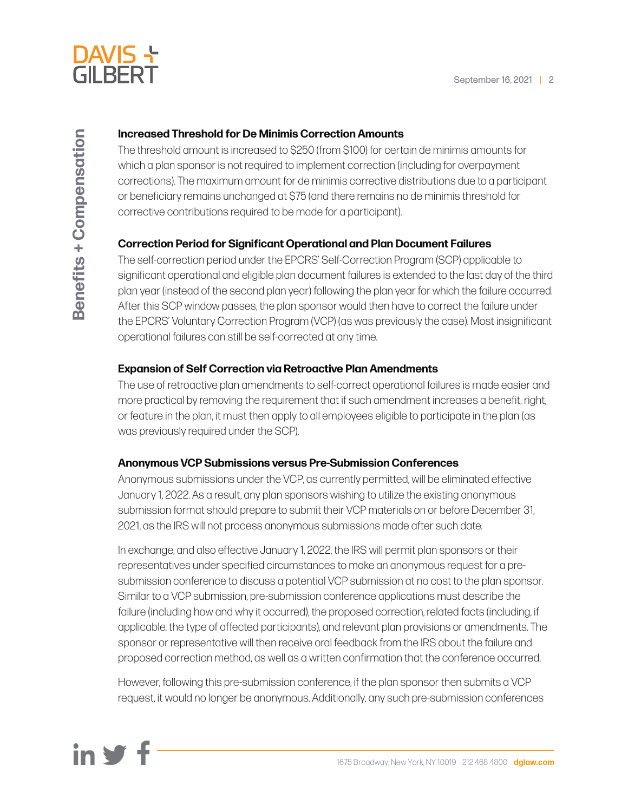

#### **Increased Threshold for De Minimis Correction Amounts**

The threshold amount is increased to \$250 (from \$100) for certain de minimis amounts for which a plan sponsor is not required to implement correction (including for overpayment corrections). The maximum amount for de minimis corrective distributions due to a participant or beneficiary remains unchanged at \$75 (and there remains no de minimis threshold for corrective contributions required to be made for a participant).

#### **Correction Period for Significant Operational and Plan Document Failures**

The self-correction period under the EPCRS' Self-Correction Program (SCP) applicable to significant operational and eligible plan document failures is extended to the last day of the third plan year (instead of the second plan year) following the plan year for which the failure occurred. After this SCP window passes, the plan sponsor would then have to correct the failure under the EPCRS' Voluntary Correction Program (VCP) (as was previously the case). Most insignificant operational failures can still be self-corrected at any time.

#### **Expansion of Self Correction via Retroactive Plan Amendments**

The use of retroactive plan amendments to self-correct operational failures is made easier and more practical by removing the requirement that if such amendment increases a benefit, right, or feature in the plan, it must then apply to all employees eligible to participate in the plan (as was previously required under the SCP).

#### **Anonymous VCP Submissions versus Pre-Submission Conferences**

Anonymous submissions under the VCP, as currently permitted, will be eliminated effective January 1, 2022. As a result, any plan sponsors wishing to utilize the existing anonymous submission format should prepare to submit their VCP materials on or before December 31, 2021, as the IRS will not process anonymous submissions made after such date.

In exchange, and also effective January 1, 2022, the IRS will permit plan sponsors or their representatives under specified circumstances to make an anonymous request for a presubmission conference to discuss a potential VCP submission at no cost to the plan sponsor. Similar to a VCP submission, pre-submission conference applications must describe the failure (including how and why it occurred), the proposed correction, related facts (including, if applicable, the type of affected participants), and relevant plan provisions or amendments. The sponsor or representative will then receive oral feedback from the IRS about the failure and proposed correction method, as well as a written confirmation that the conference occurred.

However, following this pre-submission conference, if the plan sponsor then submits a VCP request, it would no longer be anonymous. Additionally, any such pre-submission conferences